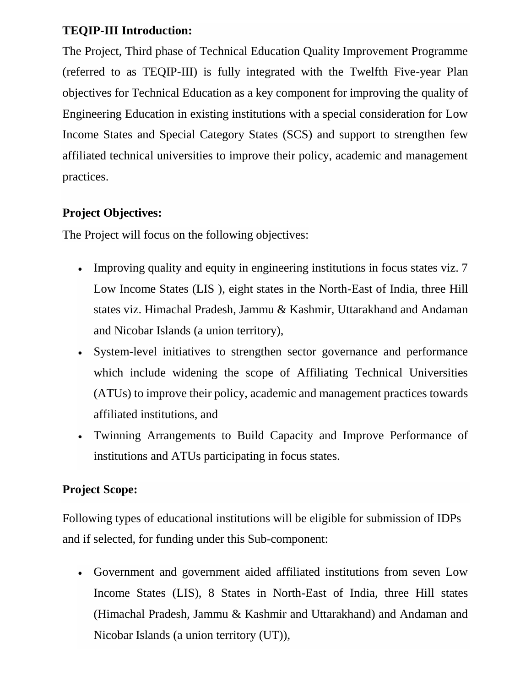#### **TEQIP-III Introduction:**

The Project, Third phase of Technical Education Quality Improvement Programme (referred to as TEQIP-III) is fully integrated with the Twelfth Five-year Plan objectives for Technical Education as a key component for improving the quality of Engineering Education in existing institutions with a special consideration for Low Income States and Special Category States (SCS) and support to strengthen few affiliated technical universities to improve their policy, academic and management practices.

#### **Project Objectives:**

The Project will focus on the following objectives:

- Improving quality and equity in engineering institutions in focus states viz. 7 Low Income States (LIS ), eight states in the North-East of India, three Hill states viz. Himachal Pradesh, Jammu & Kashmir, Uttarakhand and Andaman and Nicobar Islands (a union territory),
- System-level initiatives to strengthen sector governance and performance which include widening the scope of Affiliating Technical Universities (ATUs) to improve their policy, academic and management practices towards affiliated institutions, and
- Twinning Arrangements to Build Capacity and Improve Performance of institutions and ATUs participating in focus states.

### **Project Scope:**

Following types of educational institutions will be eligible for submission of IDPs and if selected, for funding under this Sub-component:

 Government and government aided affiliated institutions from seven Low Income States (LIS), 8 States in North-East of India, three Hill states (Himachal Pradesh, Jammu & Kashmir and Uttarakhand) and Andaman and Nicobar Islands (a union territory (UT)),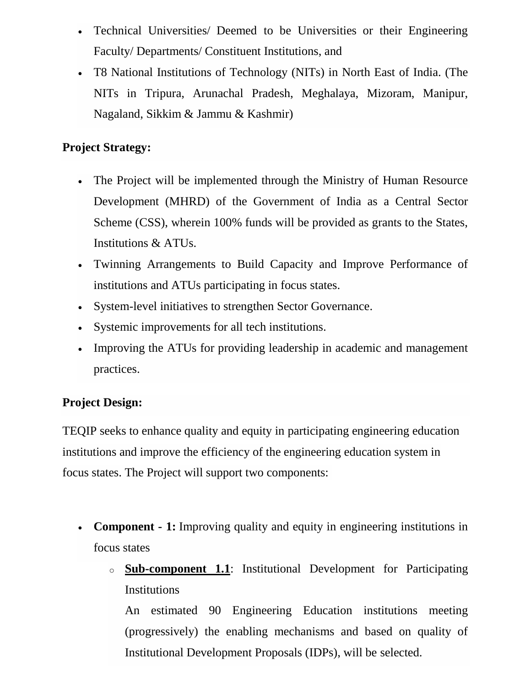- Technical Universities/ Deemed to be Universities or their Engineering Faculty/ Departments/ Constituent Institutions, and
- T8 National Institutions of Technology (NITs) in North East of India. (The NITs in Tripura, Arunachal Pradesh, Meghalaya, Mizoram, Manipur, Nagaland, Sikkim & Jammu & Kashmir)

#### **Project Strategy:**

- The Project will be implemented through the Ministry of Human Resource Development (MHRD) of the Government of India as a Central Sector Scheme (CSS), wherein 100% funds will be provided as grants to the States, Institutions & ATUs.
- Twinning Arrangements to Build Capacity and Improve Performance of institutions and ATUs participating in focus states.
- System-level initiatives to strengthen Sector Governance.
- Systemic improvements for all tech institutions.
- Improving the ATUs for providing leadership in academic and management practices.

## **Project Design:**

TEQIP seeks to enhance quality and equity in participating engineering education institutions and improve the efficiency of the engineering education system in focus states. The Project will support two components:

- **Component - 1:** Improving quality and equity in engineering institutions in focus states
	- o **Sub-component 1.1**: Institutional Development for Participating **Institutions**

An estimated 90 Engineering Education institutions meeting (progressively) the enabling mechanisms and based on quality of Institutional Development Proposals (IDPs), will be selected.